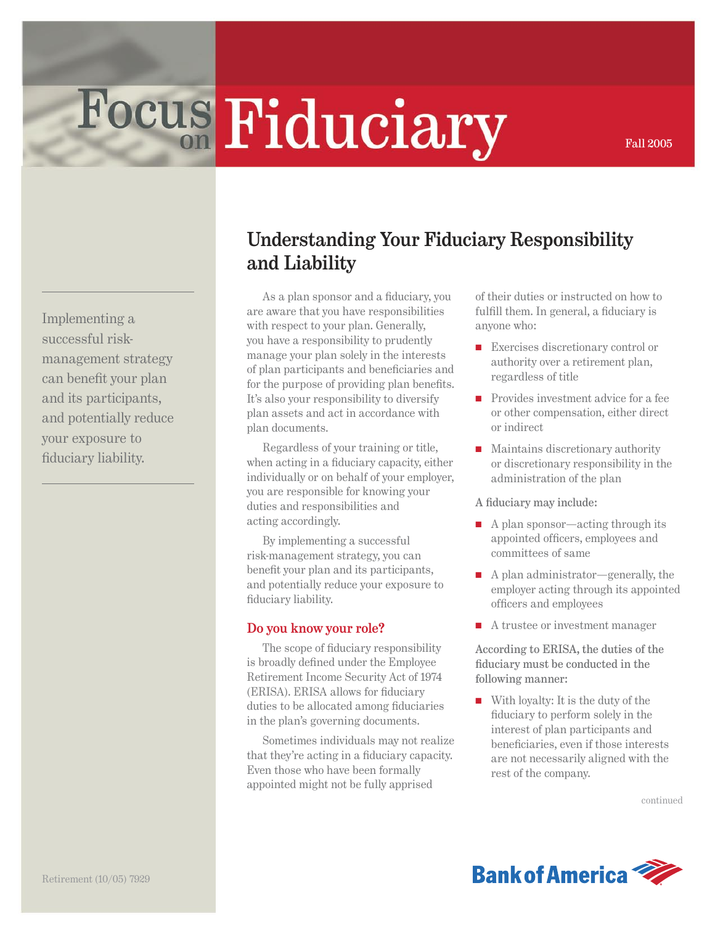# Focus Fiduciary

Implementing a successful riskmanagement strategy can benefit your plan and its participants, and potentially reduce your exposure to fiduciary liability.

## **Understanding Your Fiduciary Responsibility and Liability**

As a plan sponsor and a fiduciary, you are aware that you have responsibilities with respect to your plan. Generally, you have a responsibility to prudently manage your plan solely in the interests of plan participants and beneficiaries and for the purpose of providing plan benefits. It's also your responsibility to diversify plan assets and act in accordance with plan documents.

Regardless of your training or title, when acting in a fiduciary capacity, either individually or on behalf of your employer, you are responsible for knowing your duties and responsibilities and acting accordingly.

By implementing a successful risk-management strategy, you can benefit your plan and its participants, and potentially reduce your exposure to fiduciary liability.

#### **Do you know your role?**

The scope of fiduciary responsibility is broadly defined under the Employee Retirement Income Security Act of 1974 (ERISA). ERISA allows for fiduciary duties to be allocated among fiduciaries in the plan's governing documents.

Sometimes individuals may not realize that they're acting in a fiduciary capacity. Even those who have been formally appointed might not be fully apprised

of their duties or instructed on how to fulfill them. In general, a fiduciary is anyone who:

Fall 2005

- Exercises discretionary control or authority over a retirement plan, regardless of title
- Provides investment advice for a fee or other compensation, either direct or indirect
- Maintains discretionary authority or discretionary responsibility in the administration of the plan

A fiduciary may include:

- A plan sponsor—acting through its appointed officers, employees and committees of same
- A plan administrator—generally, the employer acting through its appointed officers and employees
- A trustee or investment manager

According to ERISA, the duties of the fiduciary must be conducted in the following manner:

■ With loyalty: It is the duty of the fiduciary to perform solely in the interest of plan participants and beneficiaries, even if those interests are not necessarily aligned with the rest of the company.

continued

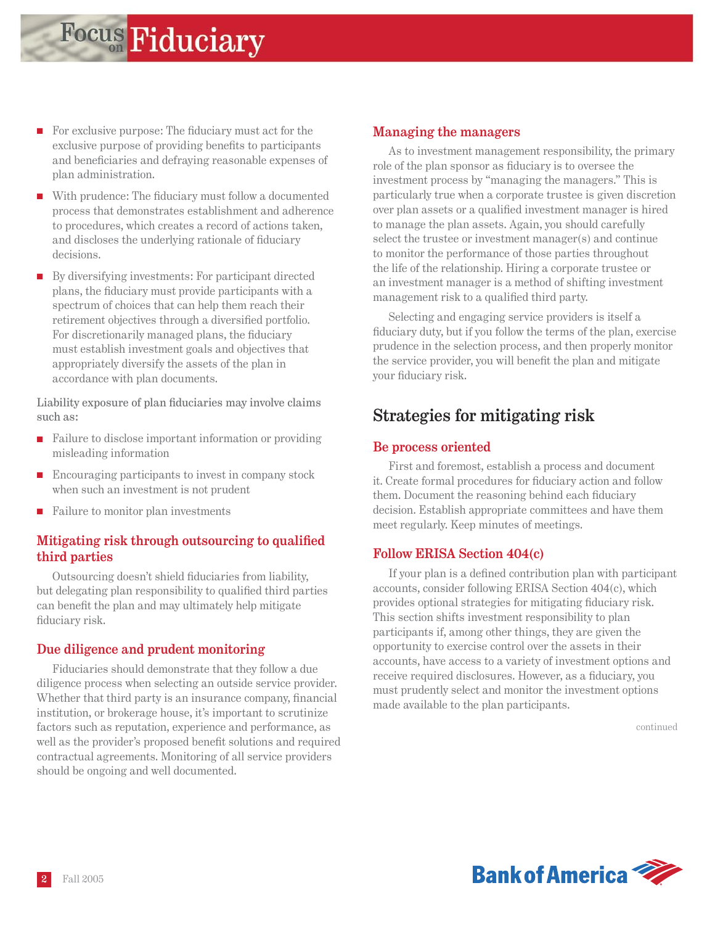- For exclusive purpose: The fiduciary must act for the exclusive purpose of providing benefits to participants and beneficiaries and defraying reasonable expenses of plan administration.
- With prudence: The fiduciary must follow a documented process that demonstrates establishment and adherence to procedures, which creates a record of actions taken, and discloses the underlying rationale of fiduciary decisions.
- By diversifying investments: For participant directed plans, the fiduciary must provide participants with a spectrum of choices that can help them reach their retirement objectives through a diversified portfolio. For discretionarily managed plans, the fiduciary must establish investment goals and objectives that appropriately diversify the assets of the plan in accordance with plan documents.

Liability exposure of plan fiduciaries may involve claims such as:

- Failure to disclose important information or providing misleading information
- Encouraging participants to invest in company stock when such an investment is not prudent
- Failure to monitor plan investments

#### **Mitigating risk through outsourcing to qualified third parties**

Outsourcing doesn't shield fiduciaries from liability, but delegating plan responsibility to qualified third parties can benefit the plan and may ultimately help mitigate fiduciary risk.

#### **Due diligence and prudent monitoring**

Fiduciaries should demonstrate that they follow a due diligence process when selecting an outside service provider. Whether that third party is an insurance company, financial institution, or brokerage house, it's important to scrutinize factors such as reputation, experience and performance, as well as the provider's proposed benefit solutions and required contractual agreements. Monitoring of all service providers should be ongoing and well documented.

#### **Managing the managers**

As to investment management responsibility, the primary role of the plan sponsor as fiduciary is to oversee the investment process by "managing the managers." This is particularly true when a corporate trustee is given discretion over plan assets or a qualified investment manager is hired to manage the plan assets. Again, you should carefully select the trustee or investment manager(s) and continue to monitor the performance of those parties throughout the life of the relationship. Hiring a corporate trustee or an investment manager is a method of shifting investment management risk to a qualified third party.

Selecting and engaging service providers is itself a fiduciary duty, but if you follow the terms of the plan, exercise prudence in the selection process, and then properly monitor the service provider, you will benefit the plan and mitigate your fiduciary risk.

### **Strategies for mitigating risk**

#### **Be process oriented**

First and foremost, establish a process and document it. Create formal procedures for fiduciary action and follow them. Document the reasoning behind each fiduciary decision. Establish appropriate committees and have them meet regularly. Keep minutes of meetings.

#### **Follow ERISA Section 404(c)**

If your plan is a defined contribution plan with participant accounts, consider following ERISA Section 404(c), which provides optional strategies for mitigating fiduciary risk. This section shifts investment responsibility to plan participants if, among other things, they are given the opportunity to exercise control over the assets in their accounts, have access to a variety of investment options and receive required disclosures. However, as a fiduciary, you must prudently select and monitor the investment options made available to the plan participants.

continued